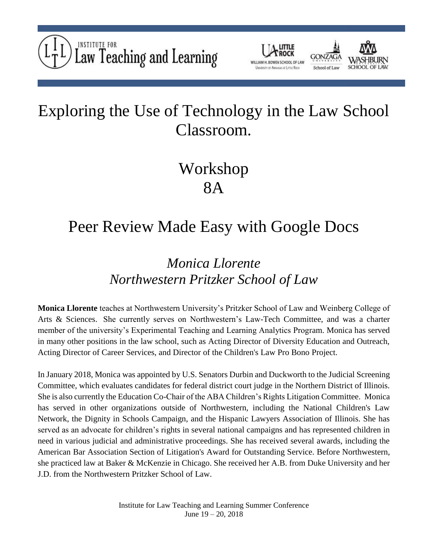



## Exploring the Use of Technology in the Law School Classroom.

# Workshop 8A

### Peer Review Made Easy with Google Docs

#### *Monica Llorente Northwestern Pritzker School of Law*

**Monica Llorente** teaches at Northwestern University's Pritzker School of Law and Weinberg College of Arts & Sciences. She currently serves on Northwestern's Law-Tech Committee, and was a charter member of the university's Experimental Teaching and Learning Analytics Program. Monica has served in many other positions in the law school, such as Acting Director of Diversity Education and Outreach, Acting Director of Career Services, and Director of the Children's Law Pro Bono Project.

In January 2018, Monica was appointed by U.S. Senators Durbin and Duckworth to the Judicial Screening Committee, which evaluates candidates for federal district court judge in the Northern District of Illinois. She is also currently the Education Co-Chair of the ABA Children's Rights Litigation Committee. Monica has served in other organizations outside of Northwestern, including the National Children's Law Network, the Dignity in Schools Campaign, and the Hispanic Lawyers Association of Illinois. She has served as an advocate for children's rights in several national campaigns and has represented children in need in various judicial and administrative proceedings. She has received several awards, including the American Bar Association Section of Litigation's Award for Outstanding Service. Before Northwestern, she practiced law at Baker & McKenzie in Chicago. She received her A.B. from Duke University and her J.D. from the Northwestern Pritzker School of Law.

> Institute for Law Teaching and Learning Summer Conference June 19 – 20, 2018